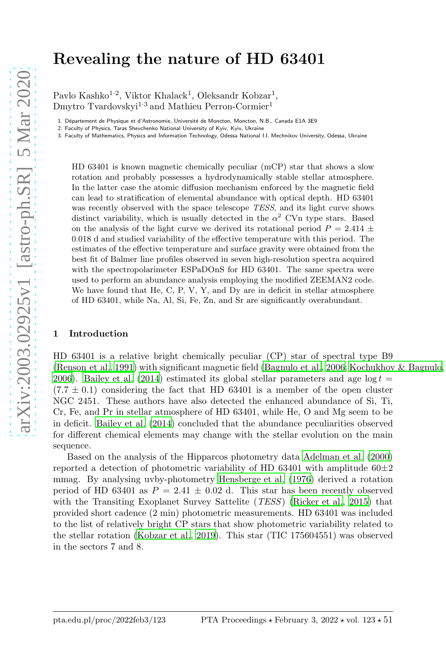# Revealing the nature of HD 63401

Pavlo Kashko<sup>1·2</sup>, Viktor Khalack<sup>1</sup>, Oleksandr Kobzar<sup>1</sup>, Dmytro Tvardovskyi<sup>1.3</sup> and Mathieu Perron-Cormier<sup>1</sup>

1. Département de Physique et d'Astronomie, Université de Moncton, Moncton, N.B., Canada E1A 3E9

2. Faculty of Physics, Taras Shevchenko National University of Kyiv, Kyiv, Ukraine

3. Faculty of Mathematics, Physics and Information Technology, Odessa National I.I. Mechnikov University, Odessa, Ukraine

HD 63401 is known magnetic chemically peculiar (mCP) star that shows a slow rotation and probably possesses a hydrodynamically stable stellar atmosphere. In the latter case the atomic diffusion mechanism enforced by the magnetic field can lead to stratification of elemental abundance with optical depth. HD 63401 was recently observed with the space telescope TESS, and its light curve shows distinct variability, which is usually detected in the  $\alpha^2$  CVn type stars. Based on the analysis of the light curve we derived its rotational period  $P = 2.414 \pm$ 0.018 d and studied variability of the effective temperature with this period. The estimates of the effective temperature and surface gravity were obtained from the best fit of Balmer line profiles observed in seven high-resolution spectra acquired with the spectropolarimeter ESPaDOnS for HD 63401. The same spectra were used to perform an abundance analysis employing the modified ZEEMAN2 code. We have found that He, C, P, V, Y, and Dy are in deficit in stellar atmosphere of HD 63401, while Na, Al, Si, Fe, Zn, and Sr are significantly overabundant.

#### 1 Introduction

HD 63401 is a relative bright chemically peculiar (CP) star of spectral type B9 [\(Renson et al., 1991\)](#page-4-0) with significant magnetic field [\(Bagnulo et al.](#page-4-1), [2006](#page-4-1); [Kochukhov & Bagnulo,](#page-4-2) [2006\)](#page-4-2). [Bailey et al. \(2014](#page-4-3)) estimated its global stellar parameters and age  $log t =$  $(7.7 \pm 0.1)$  considering the fact that HD 63401 is a member of the open cluster NGC 2451. These authors have also detected the enhanced abundance of Si, Ti, Cr, Fe, and Pr in stellar atmosphere of HD 63401, while He, O and Mg seem to be in deficit. [Bailey et al. \(2014\)](#page-4-3) concluded that the abundance peculiarities observed for different chemical elements may change with the stellar evolution on the main sequence.

Based on the analysis of the Hipparcos photometry data [Adelman et](#page-4-4) al. [\(2000\)](#page-4-4) reported a detection of photometric variability of HD 63401 with amplitude  $60\pm 2$ mmag. By analysing uvby-photometry [Hensberge et al. \(1976\)](#page-4-5) derived a rotation period of HD 63401 as  $P = 2.41 \pm 0.02$  d. This star has been recently observed with the Transiting Exoplanet Survey Sattelite *(TESS)* [\(Ricker et al., 2015\)](#page-4-6) that provided short cadence (2 min) photometric measurements. HD 63401 was included to the list of relatively bright CP stars that show photometric variability related to the stellar rotation [\(Kobzar et al., 2019\)](#page-4-7). This star (TIC 175604551) was observed in the sectors 7 and 8.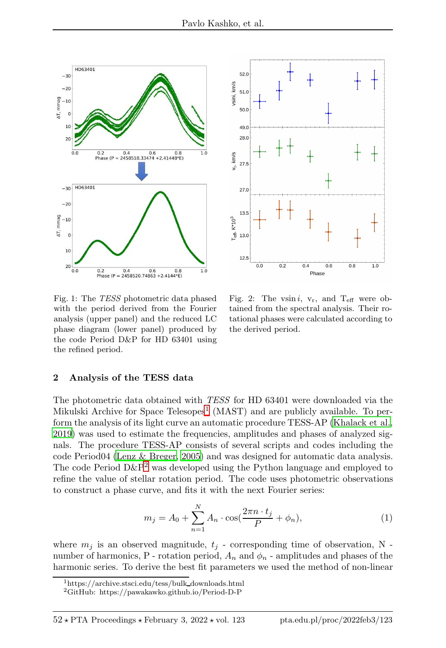



<span id="page-1-2"></span>Fig. 1: The TESS photometric data phased with the period derived from the Fourier analysis (upper panel) and the reduced LC phase diagram (lower panel) produced by the code Period D&P for HD 63401 using the refined period.

<span id="page-1-3"></span>Fig. 2: The vsin i,  $v_r$ , and  $T_{\text{eff}}$  were obtained from the spectral analysis. Their rotational phases were calculated according to the derived period.

### 2 Analysis of the TESS data

The photometric data obtained with TESS for HD 63401 were downloaded via the Mikulski Archive for Space Telesopes<sup>[1](#page-1-0)</sup> (MAST) and are publicly available. To perform the analysis of its light curve an automatic procedure TESS-AP [\(Khalack et al.,](#page-4-8) [2019\)](#page-4-8) was used to estimate the frequencies, amplitudes and phases of analyzed signals. The procedure TESS-AP consists of several scripts and codes including the code Period04 [\(Lenz & Breger](#page-4-9), [2005\)](#page-4-9) and was designed for automatic data analysis. The code Period  $D\&P^2$  $D\&P^2$  was developed using the Python language and employed to refine the value of stellar rotation period. The code uses photometric observations to construct a phase curve, and fits it with the next Fourier series:

$$
m_j = A_0 + \sum_{n=1}^{N} A_n \cdot \cos(\frac{2\pi n \cdot t_j}{P} + \phi_n),
$$
 (1)

where  $m_j$  is an observed magnitude,  $t_j$  - corresponding time of observation, N number of harmonics, P - rotation period,  $A_n$  and  $\phi_n$  - amplitudes and phases of the harmonic series. To derive the best fit parameters we used the method of non-linear

<sup>1</sup>https://archive.stsci.edu/tess/bulk downloads.html

<span id="page-1-1"></span><span id="page-1-0"></span><sup>2</sup>GitHub: https://pawakawko.github.io/Period-D-P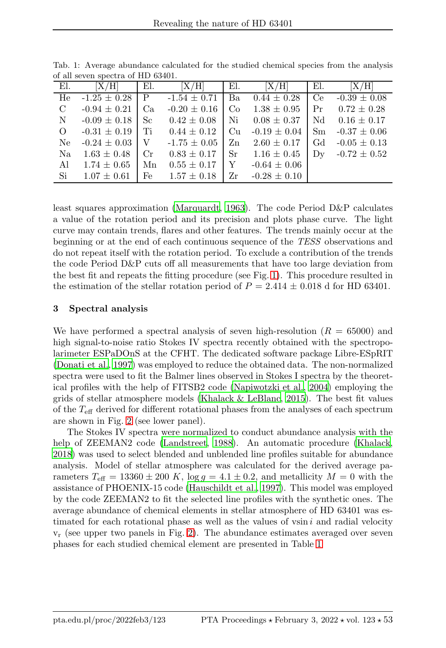<span id="page-2-0"></span>

| of an seven specula of the color. |                    |               |                  |               |                  |     |                  |
|-----------------------------------|--------------------|---------------|------------------|---------------|------------------|-----|------------------|
| EL                                | [X/H]              | El.           | [X/H]            | El.           | [X/H]            | El. | [X/H]            |
| He                                | $-1.25 \pm 0.28$ P |               | $-1.54 \pm 0.71$ | Ba            | $0.44 \pm 0.28$  | Ce  | $-0.39 \pm 0.08$ |
| $\mathcal{C}$                     | $-0.94 \pm 0.21$   | Ca            | $-0.20 \pm 0.16$ | Co            | $1.38 \pm 0.95$  | Pr  | $0.72 \pm 0.28$  |
| $\mathbf N$                       | $-0.09 \pm 0.18$   | <sub>Sc</sub> | $0.42 \pm 0.08$  | Ni            | $0.08 \pm 0.37$  | Nd  | $0.16 \pm 0.17$  |
| $\Omega$                          | $-0.31 \pm 0.19$   | Ti            | $0.44 \pm 0.12$  | Cu            | $-0.19 \pm 0.04$ | Sm  | $-0.37 \pm 0.06$ |
| Ne                                | $-0.24 \pm 0.03$   | $\mathbf{V}$  | $-1.75 \pm 0.05$ | $\rm Zn$      | $2.60 \pm 0.17$  | Gd  | $-0.05 \pm 0.13$ |
| Na                                | $1.63 \pm 0.48$    | $_{\rm Cr}$   | $0.83 \pm 0.17$  | <sub>Sr</sub> | $1.16 \pm 0.45$  | Dv  | $-0.72 \pm 0.52$ |
| Al                                | $1.74 \pm 0.65$    | Mn            | $0.55 \pm 0.17$  | Y             | $-0.64 \pm 0.06$ |     |                  |
| Si                                | $1.07 \pm 0.61$    | Fe            | $1.57 \pm 0.18$  | Zr            | $-0.28 \pm 0.10$ |     |                  |

Tab. 1: Average abundance calculated for the studied chemical species from the analysis of all seven spectra of HD 63401.

least squares approximation [\(Marquardt, 1963](#page-4-10)). The code Period D&P calculates a value of the rotation period and its precision and plots phase curve. The light curve may contain trends, flares and other features. The trends mainly occur at the beginning or at the end of each continuous sequence of the TESS observations and do not repeat itself with the rotation period. To exclude a contribution of the trends the code Period D&P cuts off all measurements that have too large deviation from the best fit and repeats the fitting procedure (see Fig. [1\)](#page-1-2). This procedure resulted in the estimation of the stellar rotation period of  $P = 2.414 \pm 0.018$  d for HD 63401.

## 3 Spectral analysis

We have performed a spectral analysis of seven high-resolution  $(R = 65000)$  and high signal-to-noise ratio Stokes IV spectra recently obtained with the spectropolarimeter ESPaDOnS at the CFHT. The dedicated software package Libre-ESpRIT [\(Donati et al., 1997\)](#page-4-11) was employed to reduce the obtained data. The non-normalized spectra were used to fit the Balmer lines observed in Stokes I spectra by the theoretical profiles with the help of FITSB2 code [\(Napiwotzki et al., 2004\)](#page-4-12) employing the grids of stellar atmosphere models [\(Khalack & LeBlanc, 2015\)](#page-4-13). The best fit values of the  $T_{\text{eff}}$  derived for different rotational phases from the analyses of each spectrum are shown in Fig. [2](#page-1-3) (see lower panel).

The Stokes IV spectra were normalized to conduct abundance analysis with the help of ZEEMAN2 code [\(Landstreet, 1988\)](#page-4-14). An automatic procedure [\(Khalack,](#page-4-15) [2018\)](#page-4-15) was used to select blended and unblended line profiles suitable for abundance analysis. Model of stellar atmosphere was calculated for the derived average parameters  $T_{\text{eff}} = 13360 \pm 200 K$ ,  $\log g = 4.1 \pm 0.2$ , and metallicity  $M = 0$  with the assistance of PHOENIX-15 code [\(Hauschildt et al., 1997\)](#page-4-16). This model was employed by the code ZEEMAN2 to fit the selected line profiles with the synthetic ones. The average abundance of chemical elements in stellar atmosphere of HD 63401 was estimated for each rotational phase as well as the values of vsin  $i$  and radial velocity  $v_r$  (see upper two panels in Fig. [2\)](#page-1-3). The abundance estimates averaged over seven phases for each studied chemical element are presented in Table [1](#page-2-0)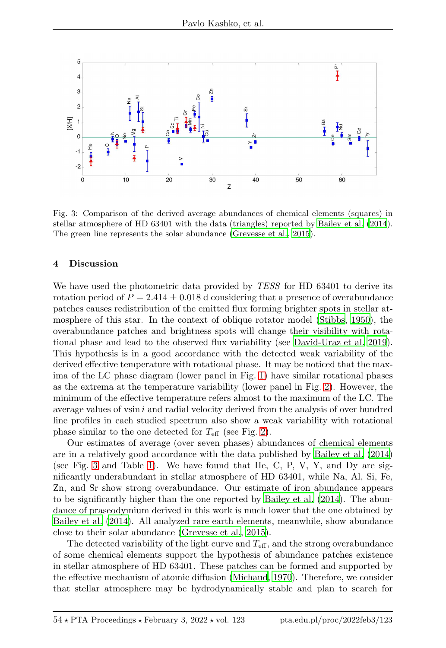

Fig. 3: Comparison of the derived average abundances of chemical elements (squares) in stellar atmosphere of HD 63401 with the data (triangles) reported by [Bailey et al. \(2014](#page-4-3)). The green line represents the solar abundance [\(Grevesse et al., 2015\)](#page-4-17).

### 4 Discussion

We have used the photometric data provided by TESS for HD 63401 to derive its rotation period of  $P = 2.414 \pm 0.018$  d considering that a presence of overabundance patches causes redistribution of the emitted flux forming brighter spots in stellar atmosphere of this star. In the context of oblique rotator model [\(Stibbs](#page-4-18), [1950](#page-4-18)), the overabundance patches and brightness spots will change their visibility with rotational phase and lead to the observed flux variability (see [David-Uraz et al. 2019\)](#page-4-19). This hypothesis is in a good accordance with the detected weak variability of the derived effective temperature with rotational phase. It may be noticed that the maxima of the LC phase diagram (lower panel in Fig. [1\)](#page-1-2) have similar rotational phases as the extrema at the temperature variability (lower panel in Fig. [2\)](#page-1-3). However, the minimum of the effective temperature refers almost to the maximum of the LC. The average values of vsin  $i$  and radial velocity derived from the analysis of over hundred line profiles in each studied spectrum also show a weak variability with rotational phase similar to the one detected for  $T_{\text{eff}}$  (see Fig. [2\)](#page-1-3).

Our estimates of average (over seven phases) abundances of chemical elements are in a relatively good accordance with the data published by [Bailey et](#page-4-3) al. [\(2014\)](#page-4-3) (see Fig. [3](#page-2-0) and Table [1\)](#page-2-0). We have found that He, C, P, V, Y, and Dy are significantly underabundant in stellar atmosphere of HD 63401, while Na, Al, Si, Fe, Zn, and Sr show strong overabundance. Our estimate of iron abundance appears to be significantly higher than the one reported by [Bailey et al. \(2014\)](#page-4-3). The abundance of praseodymium derived in this work is much lower that the one obtained by [Bailey et al. \(2014\)](#page-4-3). All analyzed rare earth elements, meanwhile, show abundance close to their solar abundance [\(Grevesse et al.](#page-4-17), [2015](#page-4-17)).

The detected variability of the light curve and  $T_{\text{eff}}$ , and the strong overabundance of some chemical elements support the hypothesis of abundance patches existence in stellar atmosphere of HD 63401. These patches can be formed and supported by the effective mechanism of atomic diffusion [\(Michaud](#page-4-20), [1970\)](#page-4-20). Therefore, we consider that stellar atmosphere may be hydrodynamically stable and plan to search for